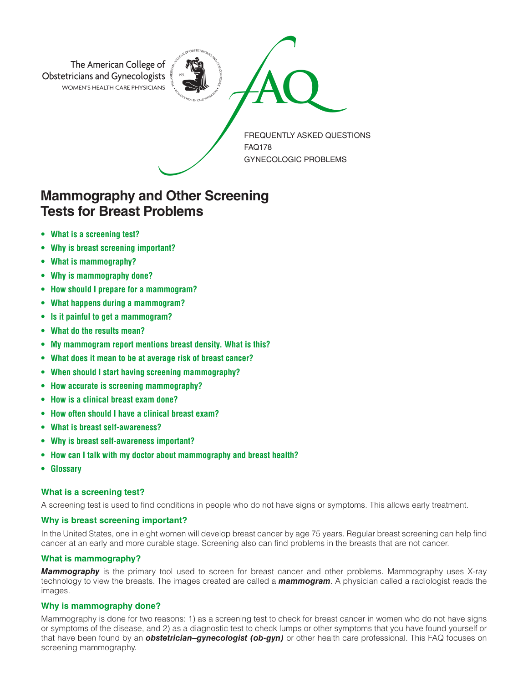

# **Mammography and Other Screening Tests for Breast Problems**

- **• What is a screening test?**
- **Why is breast screening important?**
- **What is mammography?**
- **Why is mammography done?**
- **How should I prepare for a mammogram?**
- **What happens during a mammogram?**
- **Is it painful to get a mammogram?**
- **What do the results mean?**
- **My mammogram report mentions breast density. What is this?**
- **What does it mean to be at average risk of breast cancer?**
- **When should I start having screening mammography?**
- **How accurate is screening mammography?**
- **How is a clinical breast exam done?**
- **How often should I have a clinical breast exam?**
- **What is breast self-awareness?**
- **Why is breast self-awareness important?**
- **How can I talk with my doctor about mammography and breast health?**
- **Glossary**

# **What is a screening test?**

A screening test is used to find conditions in people who do not have signs or symptoms. This allows early treatment.

# **Why is breast screening important?**

In the United States, one in eight women will develop breast cancer by age 75 years. Regular breast screening can help find cancer at an early and more curable stage. Screening also can find problems in the breasts that are not cancer.

# **What is mammography?**

*Mammography* is the primary tool used to screen for breast cancer and other problems. Mammography uses X-ray technology to view the breasts. The images created are called a *mammogram*. A physician called a radiologist reads the images.

# **Why is mammography done?**

Mammography is done for two reasons: 1) as a screening test to check for breast cancer in women who do not have signs or symptoms of the disease, and 2) as a diagnostic test to check lumps or other symptoms that you have found yourself or that have been found by an *obstetrician–gynecologist (ob-gyn)* or other health care professional. This FAQ focuses on screening mammography.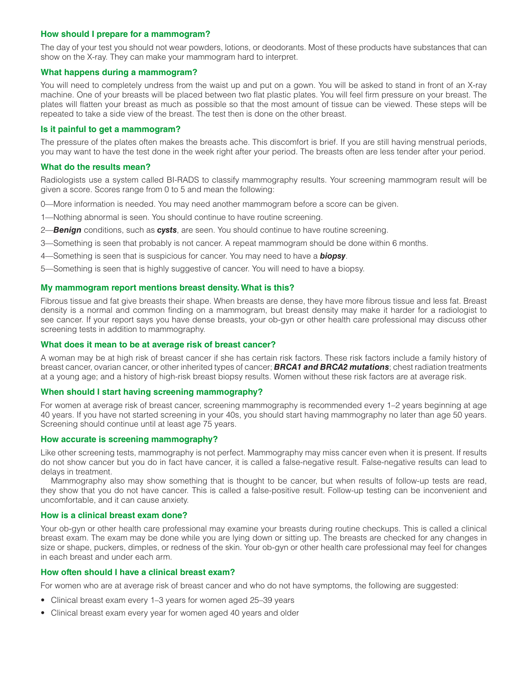## **How should I prepare for a mammogram?**

The day of your test you should not wear powders, lotions, or deodorants. Most of these products have substances that can show on the X-ray. They can make your mammogram hard to interpret.

## **What happens during a mammogram?**

You will need to completely undress from the waist up and put on a gown. You will be asked to stand in front of an X-ray machine. One of your breasts will be placed between two flat plastic plates. You will feel firm pressure on your breast. The plates will flatten your breast as much as possible so that the most amount of tissue can be viewed. These steps will be repeated to take a side view of the breast. The test then is done on the other breast.

## **Is it painful to get a mammogram?**

The pressure of the plates often makes the breasts ache. This discomfort is brief. If you are still having menstrual periods, you may want to have the test done in the week right after your period. The breasts often are less tender after your period.

## **What do the results mean?**

Radiologists use a system called BI-RADS to classify mammography results. Your screening mammogram result will be given a score. Scores range from 0 to 5 and mean the following:

- 0—More information is needed. You may need another mammogram before a score can be given.
- 1—Nothing abnormal is seen. You should continue to have routine screening.
- 2—*Benign* conditions, such as *cysts*, are seen. You should continue to have routine screening.
- 3—Something is seen that probably is not cancer. A repeat mammogram should be done within 6 months.
- 4—Something is seen that is suspicious for cancer. You may need to have a *biopsy*.
- 5—Something is seen that is highly suggestive of cancer. You will need to have a biopsy.

# **My mammogram report mentions breast density. What is this?**

Fibrous tissue and fat give breasts their shape. When breasts are dense, they have more fibrous tissue and less fat. Breast density is a normal and common finding on a mammogram, but breast density may make it harder for a radiologist to see cancer. If your report says you have dense breasts, your ob-gyn or other health care professional may discuss other screening tests in addition to mammography.

## **What does it mean to be at average risk of breast cancer?**

A woman may be at high risk of breast cancer if she has certain risk factors. These risk factors include a family history of breast cancer, ovarian cancer, or other inherited types of cancer; *BRCA1 and BRCA2 mutations*; chest radiation treatments at a young age; and a history of high-risk breast biopsy results. Women without these risk factors are at average risk.

# **When should I start having screening mammography?**

For women at average risk of breast cancer, screening mammography is recommended every 1–2 years beginning at age 40 years. If you have not started screening in your 40s, you should start having mammography no later than age 50 years. Screening should continue until at least age 75 years.

#### **How accurate is screening mammography?**

Like other screening tests, mammography is not perfect. Mammography may miss cancer even when it is present. If results do not show cancer but you do in fact have cancer, it is called a false-negative result. False-negative results can lead to delays in treatment.

Mammography also may show something that is thought to be cancer, but when results of follow-up tests are read, they show that you do not have cancer. This is called a false-positive result. Follow-up testing can be inconvenient and uncomfortable, and it can cause anxiety.

#### **How is a clinical breast exam done?**

Your ob-gyn or other health care professional may examine your breasts during routine checkups. This is called a clinical breast exam. The exam may be done while you are lying down or sitting up. The breasts are checked for any changes in size or shape, puckers, dimples, or redness of the skin. Your ob-gyn or other health care professional may feel for changes in each breast and under each arm.

# **How often should I have a clinical breast exam?**

For women who are at average risk of breast cancer and who do not have symptoms, the following are suggested:

- Clinical breast exam every 1–3 years for women aged 25–39 years
- Clinical breast exam every year for women aged 40 years and older